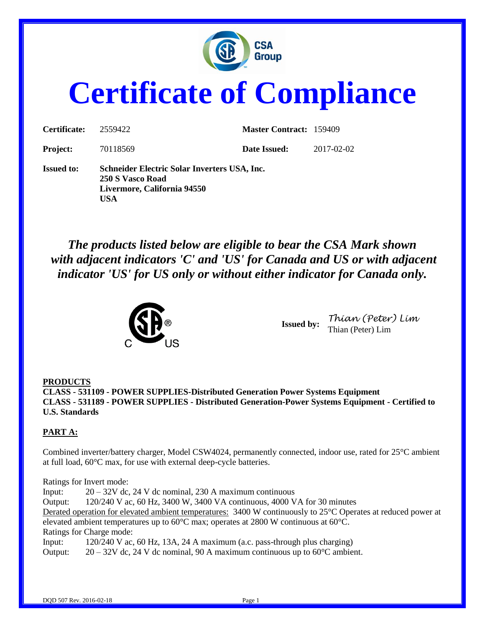

# **Certificate of Compliance**

| Certificate:      | 2559422                                                                                                | <b>Master Contract: 159409</b> |            |
|-------------------|--------------------------------------------------------------------------------------------------------|--------------------------------|------------|
| <b>Project:</b>   | 70118569                                                                                               | Date Issued:                   | 2017-02-02 |
| <b>Issued to:</b> | Schneider Electric Solar Inverters USA, Inc.<br>250 S Vasco Road<br>Livermore, California 94550<br>USA |                                |            |

*The products listed below are eligible to bear the CSA Mark shown with adjacent indicators 'C' and 'US' for Canada and US or with adjacent indicator 'US' for US only or without either indicator for Canada only.*



**Issued by:** *Thian (Peter) Lim* Thian (Peter) Lim

#### **PRODUCTS**

**CLASS - 531109 - POWER SUPPLIES-Distributed Generation Power Systems Equipment CLASS - 531189 - POWER SUPPLIES - Distributed Generation-Power Systems Equipment - Certified to U.S. Standards**

#### **PART A:**

Combined inverter/battery charger, Model CSW4024, permanently connected, indoor use, rated for 25°C ambient at full load, 60°C max, for use with external deep-cycle batteries.

Ratings for Invert mode: Input:  $20 - 32V$  dc, 24 V dc nominal, 230 A maximum continuous Output: 120/240 V ac, 60 Hz, 3400 W, 3400 VA continuous, 4000 VA for 30 minutes Derated operation for elevated ambient temperatures: 3400 W continuously to 25°C Operates at reduced power at elevated ambient temperatures up to 60°C max; operates at 2800 W continuous at 60°C. Ratings for Charge mode: Input: 120/240 V ac, 60 Hz, 13A, 24 A maximum (a.c. pass-through plus charging) Output:  $20 - 32V$  dc, 24 V dc nominal, 90 A maximum continuous up to  $60^{\circ}$ C ambient.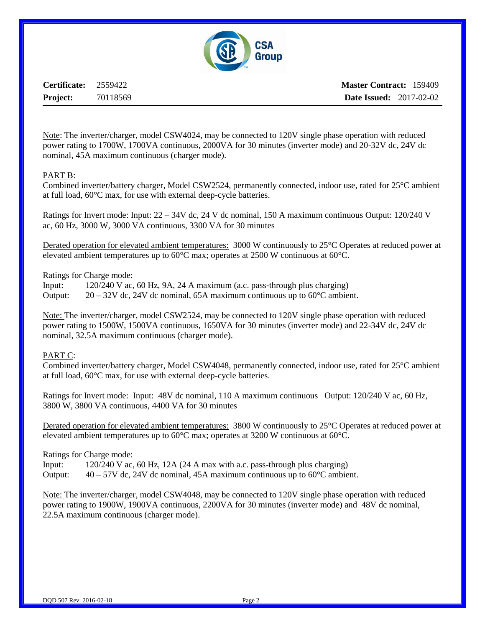

**Certificate:** 2559422 **Project:** 70118569

Note: The inverter/charger, model CSW4024, may be connected to 120V single phase operation with reduced power rating to 1700W, 1700VA continuous, 2000VA for 30 minutes (inverter mode) and 20-32V dc, 24V dc nominal, 45A maximum continuous (charger mode).

#### PART B:

Combined inverter/battery charger, Model CSW2524, permanently connected, indoor use, rated for 25°C ambient at full load, 60°C max, for use with external deep-cycle batteries.

Ratings for Invert mode: Input: 22 – 34V dc, 24 V dc nominal, 150 A maximum continuous Output: 120/240 V ac, 60 Hz, 3000 W, 3000 VA continuous, 3300 VA for 30 minutes

Derated operation for elevated ambient temperatures: 3000 W continuously to 25°C Operates at reduced power at elevated ambient temperatures up to 60°C max; operates at 2500 W continuous at 60°C.

Ratings for Charge mode:

Input: 120/240 V ac, 60 Hz, 9A, 24 A maximum (a.c. pass-through plus charging)

Output:  $20 - 32V$  dc, 24V dc nominal, 65A maximum continuous up to 60 $^{\circ}$ C ambient.

Note: The inverter/charger, model CSW2524, may be connected to 120V single phase operation with reduced power rating to 1500W, 1500VA continuous, 1650VA for 30 minutes (inverter mode) and 22-34V dc, 24V dc nominal, 32.5A maximum continuous (charger mode).

#### PART C:

Combined inverter/battery charger, Model CSW4048, permanently connected, indoor use, rated for 25°C ambient at full load, 60°C max, for use with external deep-cycle batteries.

Ratings for Invert mode: Input: 48V dc nominal, 110 A maximum continuous Output: 120/240 V ac, 60 Hz, 3800 W, 3800 VA continuous, 4400 VA for 30 minutes

Derated operation for elevated ambient temperatures: 3800 W continuously to 25°C Operates at reduced power at elevated ambient temperatures up to 60°C max; operates at 3200 W continuous at 60°C.

Ratings for Charge mode:

Input: 120/240 V ac, 60 Hz, 12A (24 A max with a.c. pass-through plus charging)

Output:  $40 - 57V$  dc, 24V dc nominal, 45A maximum continuous up to  $60^{\circ}$ C ambient.

Note: The inverter/charger, model CSW4048, may be connected to 120V single phase operation with reduced power rating to 1900W, 1900VA continuous, 2200VA for 30 minutes (inverter mode) and 48V dc nominal, 22.5A maximum continuous (charger mode).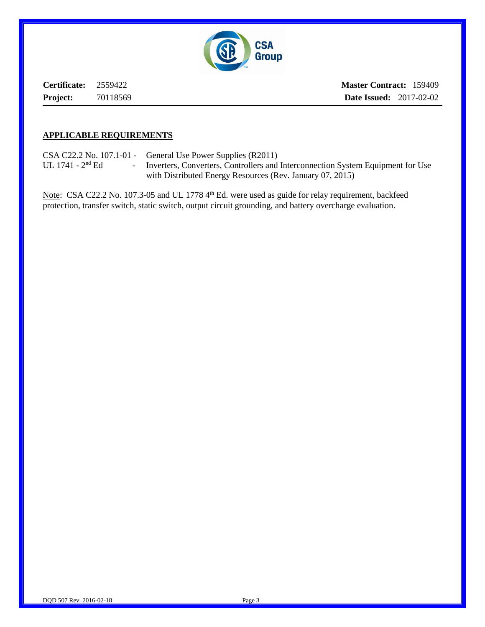

**Certificate:** 2559422 **Project:** 70118569 **Master Contract:** 159409 **Date Issued:** 2017-02-02

### **APPLICABLE REQUIREMENTS**

CSA C22.2 No. 107.1-01 - General Use Power Supplies (R2011) UL 1741 - 2<sup>nd</sup> Ed - Inverters, Converters, Controllers and Interconnection System Equipment for Use with Distributed Energy Resources (Rev. January 07, 2015)

Note: CSA C22.2 No. 107.3-05 and UL 1778 4<sup>th</sup> Ed. were used as guide for relay requirement, backfeed protection, transfer switch, static switch, output circuit grounding, and battery overcharge evaluation.